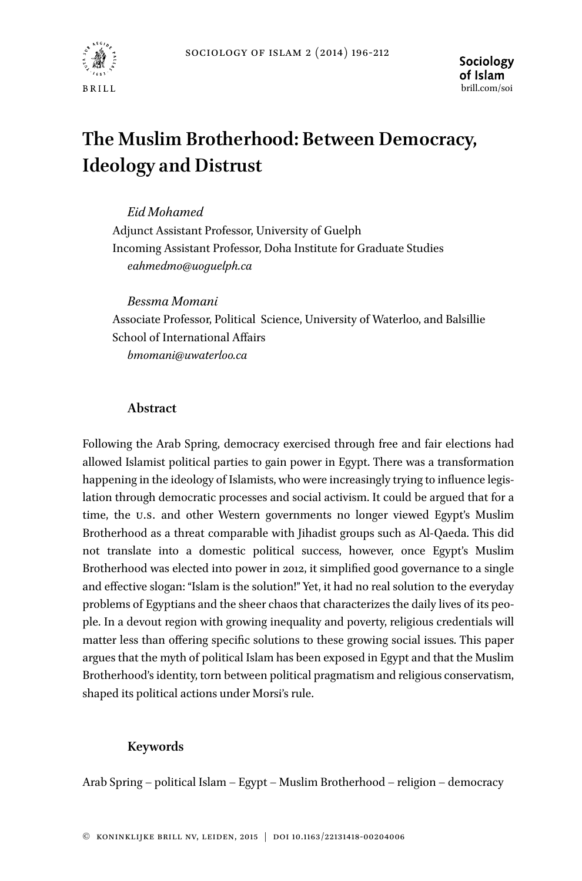



# **The Muslim Brotherhood: Between Democracy, Ideology and Distrust**

*Eid Mohamed*

Adjunct Assistant Professor, University of Guelph Incoming Assistant Professor, Doha Institute for Graduate Studies *eahmedmo@uoguelph.ca* 

*Bessma Momani*

Associate Professor, Political Science, University of Waterloo, and Balsillie School of International Affairs *bmomani@uwaterloo.ca* 

**Abstract**

Following the Arab Spring, democracy exercised through free and fair elections had allowed Islamist political parties to gain power in Egypt. There was a transformation happening in the ideology of Islamists, who were increasingly trying to influence legislation through democratic processes and social activism. It could be argued that for a time, the u.s. and other Western governments no longer viewed Egypt's Muslim Brotherhood as a threat comparable with Jihadist groups such as Al-Qaeda. This did not translate into a domestic political success, however, once Egypt's Muslim Brotherhood was elected into power in 2012, it simplified good governance to a single and effective slogan: "Islam is the solution!" Yet, it had no real solution to the everyday problems of Egyptians and the sheer chaos that characterizes the daily lives of its people. In a devout region with growing inequality and poverty, religious credentials will matter less than offering specific solutions to these growing social issues. This paper argues that the myth of political Islam has been exposed in Egypt and that the Muslim Brotherhood's identity, torn between political pragmatism and religious conservatism, shaped its political actions under Morsi's rule.

# **Keywords**

Arab Spring – political Islam – Egypt – Muslim Brotherhood – religion – democracy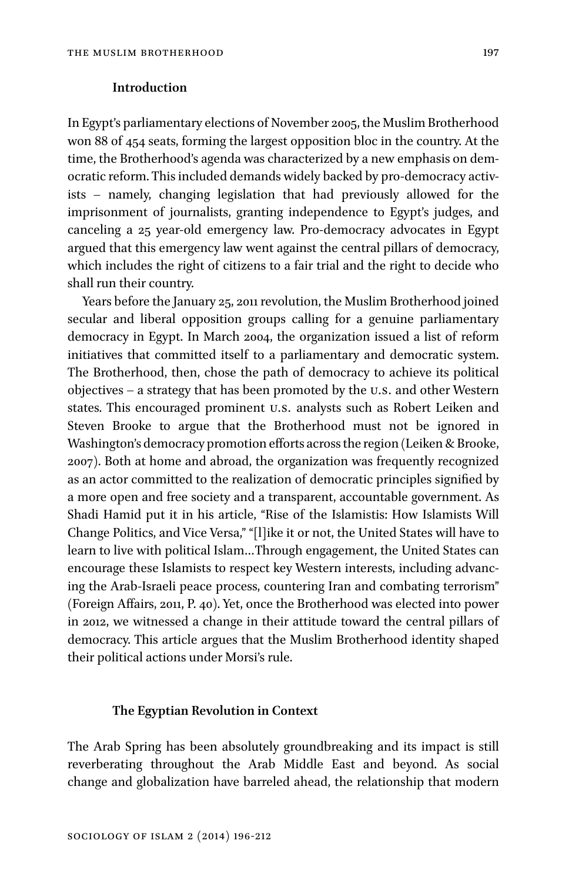### **Introduction**

In Egypt's parliamentary elections of November 2005, the Muslim Brotherhood won 88 of 454 seats, forming the largest opposition bloc in the country. At the time, the Brotherhood's agenda was characterized by a new emphasis on democratic reform. This included demands widely backed by pro-democracy activists – namely, changing legislation that had previously allowed for the imprisonment of journalists, granting independence to Egypt's judges, and canceling a 25 year-old emergency law. Pro-democracy advocates in Egypt argued that this emergency law went against the central pillars of democracy, which includes the right of citizens to a fair trial and the right to decide who shall run their country.

Years before the January 25, 2011 revolution, the Muslim Brotherhood joined secular and liberal opposition groups calling for a genuine parliamentary democracy in Egypt. In March 2004, the organization issued a list of reform initiatives that committed itself to a parliamentary and democratic system. The Brotherhood, then, chose the path of democracy to achieve its political objectives – a strategy that has been promoted by the u.s. and other Western states. This encouraged prominent u.s. analysts such as Robert Leiken and Steven Brooke to argue that the Brotherhood must not be ignored in Washington's democracy promotion efforts across the region (Leiken & Brooke, 2007). Both at home and abroad, the organization was frequently recognized as an actor committed to the realization of democratic principles signified by a more open and free society and a transparent, accountable government. As Shadi Hamid put it in his article, "Rise of the Islamistis: How Islamists Will Change Politics, and Vice Versa," "[l]ike it or not, the United States will have to learn to live with political Islam…Through engagement, the United States can encourage these Islamists to respect key Western interests, including advancing the Arab-Israeli peace process, countering Iran and combating terrorism" (Foreign Affairs, 2011, P. 40). Yet, once the Brotherhood was elected into power in 2012, we witnessed a change in their attitude toward the central pillars of democracy. This article argues that the Muslim Brotherhood identity shaped their political actions under Morsi's rule.

#### **The Egyptian Revolution in Context**

The Arab Spring has been absolutely groundbreaking and its impact is still reverberating throughout the Arab Middle East and beyond. As social change and globalization have barreled ahead, the relationship that modern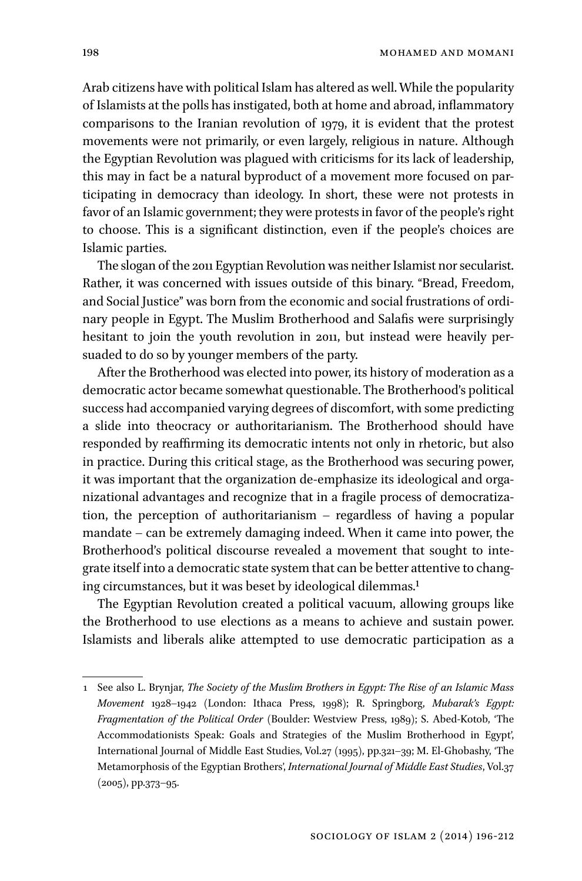Arab citizens have with political Islam has altered as well. While the popularity of Islamists at the polls has instigated, both at home and abroad, inflammatory comparisons to the Iranian revolution of 1979, it is evident that the protest movements were not primarily, or even largely, religious in nature. Although the Egyptian Revolution was plagued with criticisms for its lack of leadership, this may in fact be a natural byproduct of a movement more focused on participating in democracy than ideology. In short, these were not protests in favor of an Islamic government; they were protests in favor of the people's right to choose. This is a significant distinction, even if the people's choices are Islamic parties.

The slogan of the 2011 Egyptian Revolution was neither Islamist nor secularist. Rather, it was concerned with issues outside of this binary. "Bread, Freedom, and Social Justice" was born from the economic and social frustrations of ordinary people in Egypt. The Muslim Brotherhood and Salafis were surprisingly hesitant to join the youth revolution in 2011, but instead were heavily persuaded to do so by younger members of the party.

After the Brotherhood was elected into power, its history of moderation as a democratic actor became somewhat questionable. The Brotherhood's political success had accompanied varying degrees of discomfort, with some predicting a slide into theocracy or authoritarianism. The Brotherhood should have responded by reaffirming its democratic intents not only in rhetoric, but also in practice. During this critical stage, as the Brotherhood was securing power, it was important that the organization de-emphasize its ideological and organizational advantages and recognize that in a fragile process of democratization, the perception of authoritarianism – regardless of having a popular mandate – can be extremely damaging indeed. When it came into power, the Brotherhood's political discourse revealed a movement that sought to integrate itself into a democratic state system that can be better attentive to changing circumstances, but it was beset by ideological dilemmas.<sup>1</sup>

The Egyptian Revolution created a political vacuum, allowing groups like the Brotherhood to use elections as a means to achieve and sustain power. Islamists and liberals alike attempted to use democratic participation as a

<sup>1</sup> See also L. Brynjar, *The Society of the Muslim Brothers in Egypt: The Rise of an Islamic Mass Movement* 1928–1942 (London: Ithaca Press, 1998); R. Springborg, *Mubarak's Egypt: Fragmentation of the Political Order* (Boulder: Westview Press, 1989); S. Abed-Kotob, 'The Accommodationists Speak: Goals and Strategies of the Muslim Brotherhood in Egypt', International Journal of Middle East Studies, Vol.27 (1995), pp.321–39; M. El-Ghobashy, 'The Metamorphosis of the Egyptian Brothers', *International Journal of Middle East Studies*, Vol.37 (2005), pp.373–95.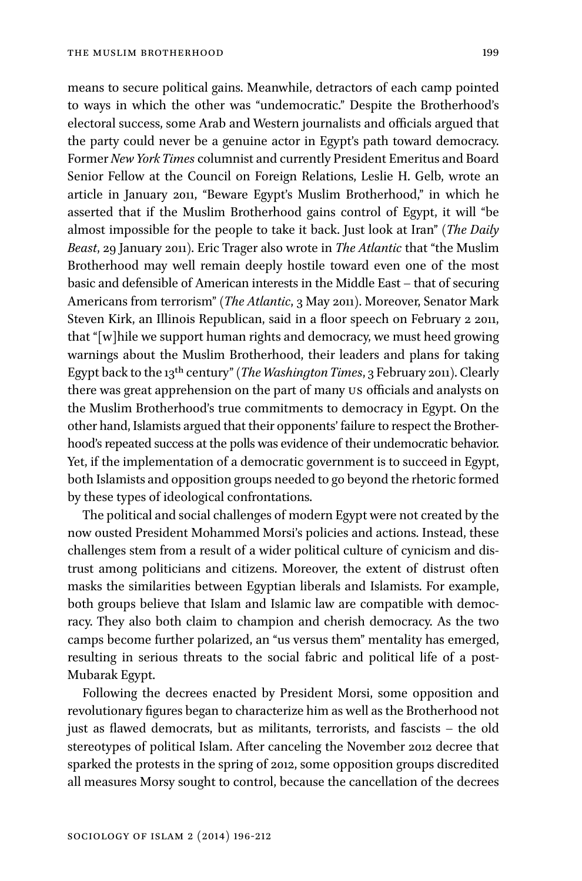means to secure political gains. Meanwhile, detractors of each camp pointed to ways in which the other was "undemocratic." Despite the Brotherhood's electoral success, some Arab and Western journalists and officials argued that the party could never be a genuine actor in Egypt's path toward democracy. Former *New York Times* columnist and currently President Emeritus and Board Senior Fellow at the Council on Foreign Relations, Leslie H. Gelb, wrote an article in January 2011, "Beware Egypt's Muslim Brotherhood," in which he asserted that if the Muslim Brotherhood gains control of Egypt, it will "be almost impossible for the people to take it back. Just look at Iran" (*The Daily Beast*, 29 January 2011). Eric Trager also wrote in *The Atlantic* that "the Muslim Brotherhood may well remain deeply hostile toward even one of the most basic and defensible of American interests in the Middle East – that of securing Americans from terrorism" (*The Atlantic*, 3 May 2011). Moreover, Senator Mark Steven Kirk, an Illinois Republican, said in a floor speech on February 2 2011, that "[w]hile we support human rights and democracy, we must heed growing warnings about the Muslim Brotherhood, their leaders and plans for taking Egypt back to the 13th century" (*The Washington Times*, 3 February 2011). Clearly there was great apprehension on the part of many us officials and analysts on the Muslim Brotherhood's true commitments to democracy in Egypt. On the other hand, Islamists argued that their opponents' failure to respect the Brotherhood's repeated success at the polls was evidence of their undemocratic behavior. Yet, if the implementation of a democratic government is to succeed in Egypt, both Islamists and opposition groups needed to go beyond the rhetoric formed

The political and social challenges of modern Egypt were not created by the now ousted President Mohammed Morsi's policies and actions. Instead, these challenges stem from a result of a wider political culture of cynicism and distrust among politicians and citizens. Moreover, the extent of distrust often masks the similarities between Egyptian liberals and Islamists. For example, both groups believe that Islam and Islamic law are compatible with democracy. They also both claim to champion and cherish democracy. As the two camps become further polarized, an "us versus them" mentality has emerged, resulting in serious threats to the social fabric and political life of a post-Mubarak Egypt.

Following the decrees enacted by President Morsi, some opposition and revolutionary figures began to characterize him as well as the Brotherhood not just as flawed democrats, but as militants, terrorists, and fascists – the old stereotypes of political Islam. After canceling the November 2012 decree that sparked the protests in the spring of 2012, some opposition groups discredited all measures Morsy sought to control, because the cancellation of the decrees

by these types of ideological confrontations.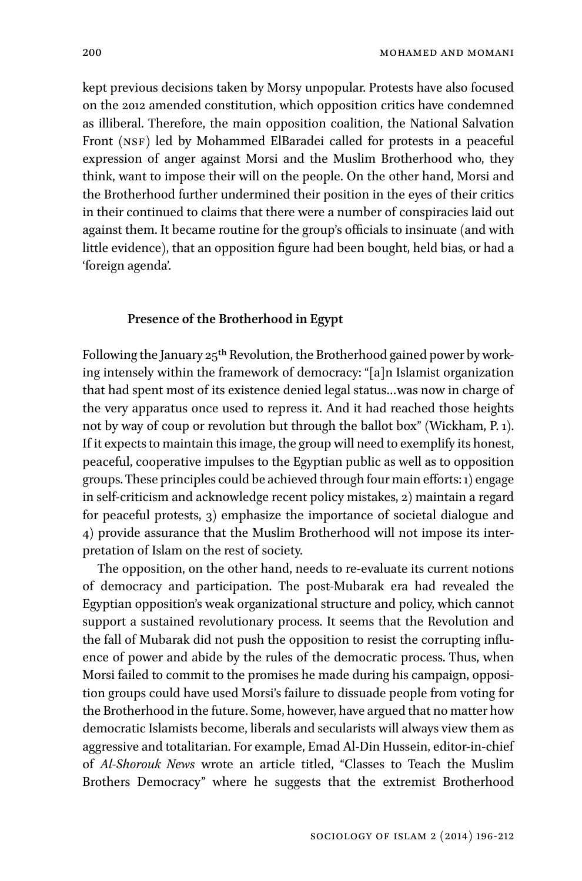kept previous decisions taken by Morsy unpopular. Protests have also focused on the 2012 amended constitution, which opposition critics have condemned as illiberal. Therefore, the main opposition coalition, the National Salvation Front (NSF) led by Mohammed ElBaradei called for protests in a peaceful expression of anger against Morsi and the Muslim Brotherhood who, they think, want to impose their will on the people. On the other hand, Morsi and the Brotherhood further undermined their position in the eyes of their critics in their continued to claims that there were a number of conspiracies laid out against them. It became routine for the group's officials to insinuate (and with little evidence), that an opposition figure had been bought, held bias, or had a 'foreign agenda'.

#### **Presence of the Brotherhood in Egypt**

Following the January  $25<sup>th</sup>$  Revolution, the Brotherhood gained power by working intensely within the framework of democracy: "[a]n Islamist organization that had spent most of its existence denied legal status…was now in charge of the very apparatus once used to repress it. And it had reached those heights not by way of coup or revolution but through the ballot box" (Wickham, P. 1). If it expects to maintain this image, the group will need to exemplify its honest, peaceful, cooperative impulses to the Egyptian public as well as to opposition groups. These principles could be achieved through four main efforts: 1) engage in self-criticism and acknowledge recent policy mistakes, 2) maintain a regard for peaceful protests, 3) emphasize the importance of societal dialogue and 4) provide assurance that the Muslim Brotherhood will not impose its interpretation of Islam on the rest of society.

The opposition, on the other hand, needs to re-evaluate its current notions of democracy and participation. The post-Mubarak era had revealed the Egyptian opposition's weak organizational structure and policy, which cannot support a sustained revolutionary process. It seems that the Revolution and the fall of Mubarak did not push the opposition to resist the corrupting influence of power and abide by the rules of the democratic process. Thus, when Morsi failed to commit to the promises he made during his campaign, opposition groups could have used Morsi's failure to dissuade people from voting for the Brotherhood in the future. Some, however, have argued that no matter how democratic Islamists become, liberals and secularists will always view them as aggressive and totalitarian. For example, Emad Al-Din Hussein, editor-in-chief of *Al-Shorouk News* wrote an article titled, "Classes to Teach the Muslim Brothers Democracy" where he suggests that the extremist Brotherhood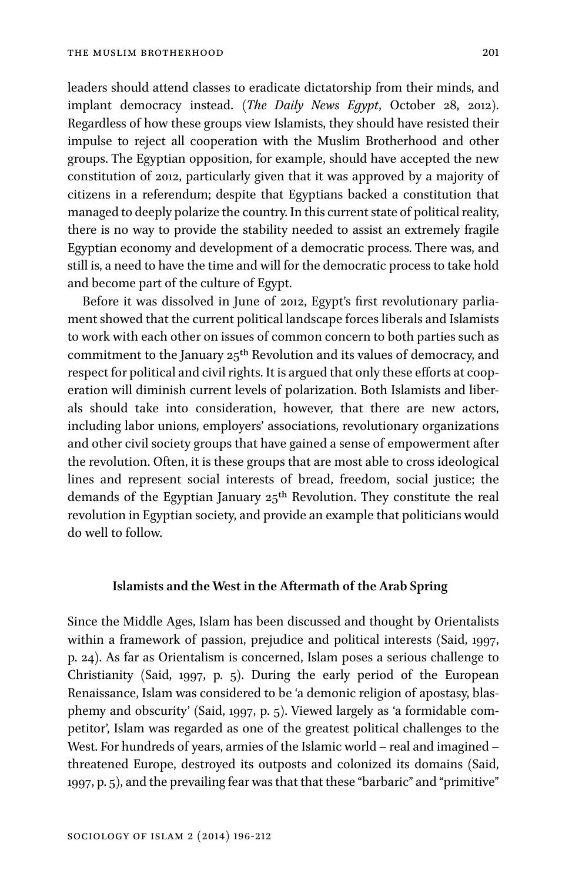leaders should attend classes to eradicate dictatorship from their minds, and implant democracy instead. (*The Daily News Egypt*, October 28, 2012). Regardless of how these groups view Islamists, they should have resisted their impulse to reject all cooperation with the Muslim Brotherhood and other groups. The Egyptian opposition, for example, should have accepted the new constitution of 2012, particularly given that it was approved by a majority of citizens in a referendum; despite that Egyptians backed a constitution that managed to deeply polarize the country. In this current state of political reality, there is no way to provide the stability needed to assist an extremely fragile Egyptian economy and development of a democratic process. There was, and still is, a need to have the time and will for the democratic process to take hold and become part of the culture of Egypt.

Before it was dissolved in June of 2012, Egypt's first revolutionary parliament showed that the current political landscape forces liberals and Islamists to work with each other on issues of common concern to both parties such as commitment to the January 25<sup>th</sup> Revolution and its values of democracy, and respect for political and civil rights. It is argued that only these efforts at cooperation will diminish current levels of polarization. Both Islamists and liberals should take into consideration, however, that there are new actors, including labor unions, employers' associations, revolutionary organizations and other civil society groups that have gained a sense of empowerment after the revolution. Often, it is these groups that are most able to cross ideological lines and represent social interests of bread, freedom, social justice; the demands of the Egyptian January  $25<sup>th</sup>$  Revolution. They constitute the real revolution in Egyptian society, and provide an example that politicians would do well to follow.

#### **Islamists and the West in the Aftermath of the Arab Spring**

Since the Middle Ages, Islam has been discussed and thought by Orientalists within a framework of passion, prejudice and political interests (Said, 1997, p. 24). As far as Orientalism is concerned, Islam poses a serious challenge to Christianity (Said, 1997, p. 5). During the early period of the European Renaissance, Islam was considered to be 'a demonic religion of apostasy, blasphemy and obscurity' (Said, 1997, p. 5). Viewed largely as 'a formidable competitor', Islam was regarded as one of the greatest political challenges to the West. For hundreds of years, armies of the Islamic world – real and imagined – threatened Europe, destroyed its outposts and colonized its domains (Said, 1997, p. 5), and the prevailing fear was that that these "barbaric" and "primitive"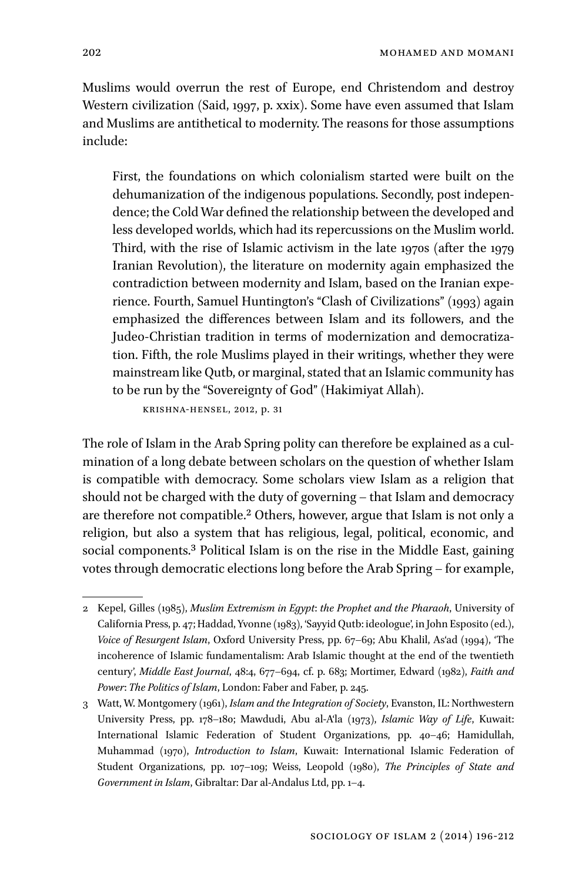Muslims would overrun the rest of Europe, end Christendom and destroy Western civilization (Said, 1997, p. xxix). Some have even assumed that Islam and Muslims are antithetical to modernity. The reasons for those assumptions include:

First, the foundations on which colonialism started were built on the dehumanization of the indigenous populations. Secondly, post independence; the Cold War defined the relationship between the developed and less developed worlds, which had its repercussions on the Muslim world. Third, with the rise of Islamic activism in the late 1970s (after the 1979 Iranian Revolution), the literature on modernity again emphasized the contradiction between modernity and Islam, based on the Iranian experience. Fourth, Samuel Huntington's "Clash of Civilizations" (1993) again emphasized the differences between Islam and its followers, and the Judeo-Christian tradition in terms of modernization and democratization. Fifth, the role Muslims played in their writings, whether they were mainstream like Qutb, or marginal, stated that an Islamic community has to be run by the "Sovereignty of God" (Hakimiyat Allah).

Krishna-Hensel, 2012, p. 31

The role of Islam in the Arab Spring polity can therefore be explained as a culmination of a long debate between scholars on the question of whether Islam is compatible with democracy. Some scholars view Islam as a religion that should not be charged with the duty of governing – that Islam and democracy are therefore not compatible.<sup>2</sup> Others, however, argue that Islam is not only a religion, but also a system that has religious, legal, political, economic, and social components.3 Political Islam is on the rise in the Middle East, gaining votes through democratic elections long before the Arab Spring – for example,

<sup>2</sup> Kepel, Gilles (1985), *Muslim Extremism in Egypt*: *the Prophet and the Pharaoh*, University of California Press, p. 47; Haddad, Yvonne (1983), 'Sayyid Qutb: ideologue', in John Esposito (ed.), *Voice of Resurgent Islam*, Oxford University Press, pp. 67–69; Abu Khalil, As'ad (1994), 'The incoherence of Islamic fundamentalism: Arab Islamic thought at the end of the twentieth century', *Middle East Journal*, 48:4, 677–694, cf. p. 683; Mortimer, Edward (1982), *Faith and Power*: *The Politics of Islam*, London: Faber and Faber, p. 245.

<sup>3</sup> Watt, W. Montgomery (1961), *Islam and the Integration of Society*, Evanston, IL: Northwestern University Press, pp. 178–180; Mawdudi, Abu al-A'la (1973), *Islamic Way of Life*, Kuwait: International Islamic Federation of Student Organizations, pp. 40–46; Hamidullah, Muhammad (1970), *Introduction to Islam*, Kuwait: International Islamic Federation of Student Organizations, pp. 107–109; Weiss, Leopold (1980), *The Principles of State and Government in Islam*, Gibraltar: Dar al-Andalus Ltd, pp. 1–4.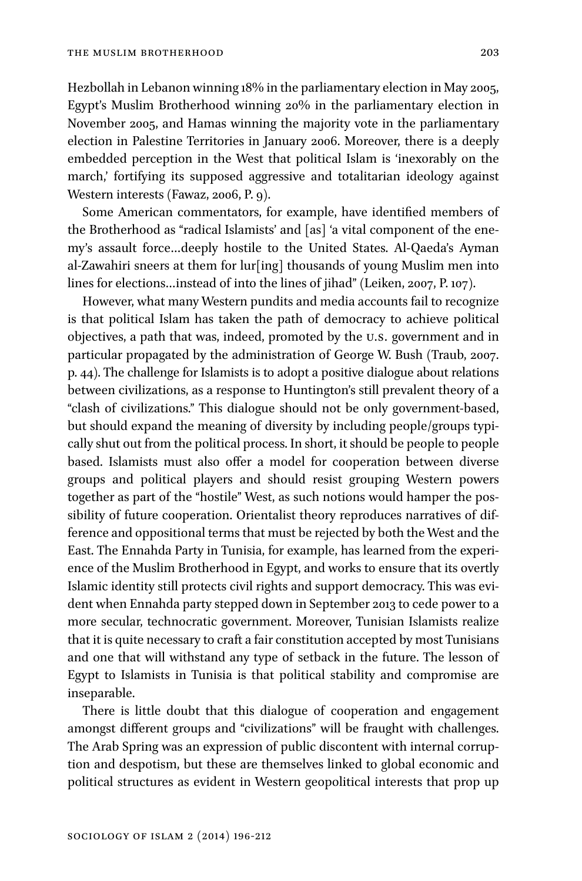Hezbollah in Lebanon winning 18% in the parliamentary election in May 2005, Egypt's Muslim Brotherhood winning 20% in the parliamentary election in November 2005, and Hamas winning the majority vote in the parliamentary election in Palestine Territories in January 2006. Moreover, there is a deeply embedded perception in the West that political Islam is 'inexorably on the march,' fortifying its supposed aggressive and totalitarian ideology against Western interests (Fawaz, 2006, P. 9).

Some American commentators, for example, have identified members of the Brotherhood as "radical Islamists' and [as] 'a vital component of the enemy's assault force…deeply hostile to the United States. Al-Qaeda's Ayman al-Zawahiri sneers at them for lur[ing] thousands of young Muslim men into lines for elections…instead of into the lines of jihad" (Leiken, 2007, P. 107).

However, what many Western pundits and media accounts fail to recognize is that political Islam has taken the path of democracy to achieve political objectives, a path that was, indeed, promoted by the u.s. government and in particular propagated by the administration of George W. Bush (Traub, 2007. p. 44). The challenge for Islamists is to adopt a positive dialogue about relations between civilizations, as a response to Huntington's still prevalent theory of a "clash of civilizations." This dialogue should not be only government-based, but should expand the meaning of diversity by including people/groups typically shut out from the political process. In short, it should be people to people based. Islamists must also offer a model for cooperation between diverse groups and political players and should resist grouping Western powers together as part of the "hostile" West, as such notions would hamper the possibility of future cooperation. Orientalist theory reproduces narratives of difference and oppositional terms that must be rejected by both the West and the East. The Ennahda Party in Tunisia, for example, has learned from the experience of the Muslim Brotherhood in Egypt, and works to ensure that its overtly Islamic identity still protects civil rights and support democracy. This was evident when Ennahda party stepped down in September 2013 to cede power to a more secular, technocratic government. Moreover, Tunisian Islamists realize that it is quite necessary to craft a fair constitution accepted by most Tunisians and one that will withstand any type of setback in the future. The lesson of Egypt to Islamists in Tunisia is that political stability and compromise are inseparable.

There is little doubt that this dialogue of cooperation and engagement amongst different groups and "civilizations" will be fraught with challenges. The Arab Spring was an expression of public discontent with internal corruption and despotism, but these are themselves linked to global economic and political structures as evident in Western geopolitical interests that prop up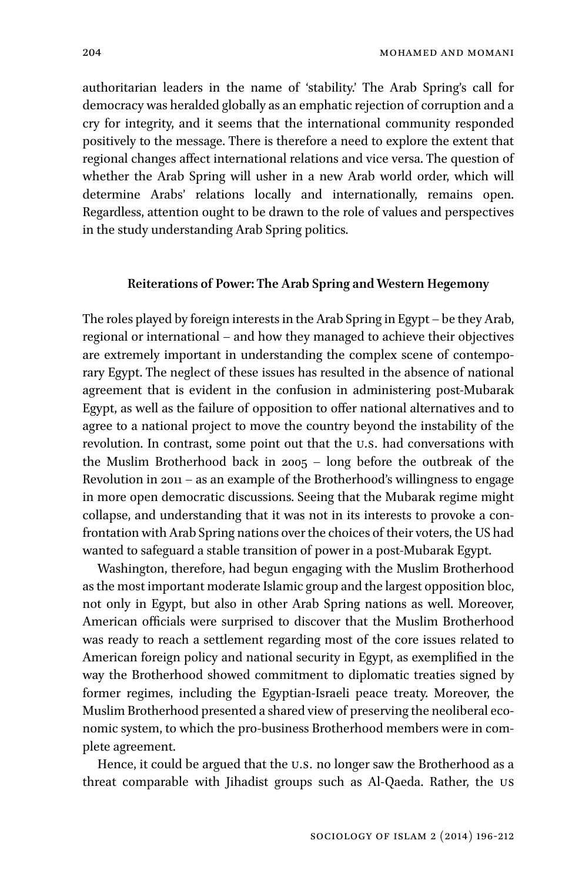authoritarian leaders in the name of 'stability.' The Arab Spring's call for democracy was heralded globally as an emphatic rejection of corruption and a cry for integrity, and it seems that the international community responded positively to the message. There is therefore a need to explore the extent that regional changes affect international relations and vice versa. The question of whether the Arab Spring will usher in a new Arab world order, which will determine Arabs' relations locally and internationally, remains open. Regardless, attention ought to be drawn to the role of values and perspectives in the study understanding Arab Spring politics.

### **Reiterations of Power: The Arab Spring and Western Hegemony**

The roles played by foreign interests in the Arab Spring in Egypt – be they Arab, regional or international – and how they managed to achieve their objectives are extremely important in understanding the complex scene of contemporary Egypt. The neglect of these issues has resulted in the absence of national agreement that is evident in the confusion in administering post-Mubarak Egypt, as well as the failure of opposition to offer national alternatives and to agree to a national project to move the country beyond the instability of the revolution. In contrast, some point out that the u.s. had conversations with the Muslim Brotherhood back in 2005 – long before the outbreak of the Revolution in 2011 – as an example of the Brotherhood's willingness to engage in more open democratic discussions. Seeing that the Mubarak regime might collapse, and understanding that it was not in its interests to provoke a confrontation with Arab Spring nations over the choices of their voters, the US had wanted to safeguard a stable transition of power in a post-Mubarak Egypt.

Washington, therefore, had begun engaging with the Muslim Brotherhood as the most important moderate Islamic group and the largest opposition bloc, not only in Egypt, but also in other Arab Spring nations as well. Moreover, American officials were surprised to discover that the Muslim Brotherhood was ready to reach a settlement regarding most of the core issues related to American foreign policy and national security in Egypt, as exemplified in the way the Brotherhood showed commitment to diplomatic treaties signed by former regimes, including the Egyptian-Israeli peace treaty. Moreover, the Muslim Brotherhood presented a shared view of preserving the neoliberal economic system, to which the pro-business Brotherhood members were in complete agreement.

Hence, it could be argued that the U.S. no longer saw the Brotherhood as a threat comparable with Jihadist groups such as Al-Qaeda. Rather, the us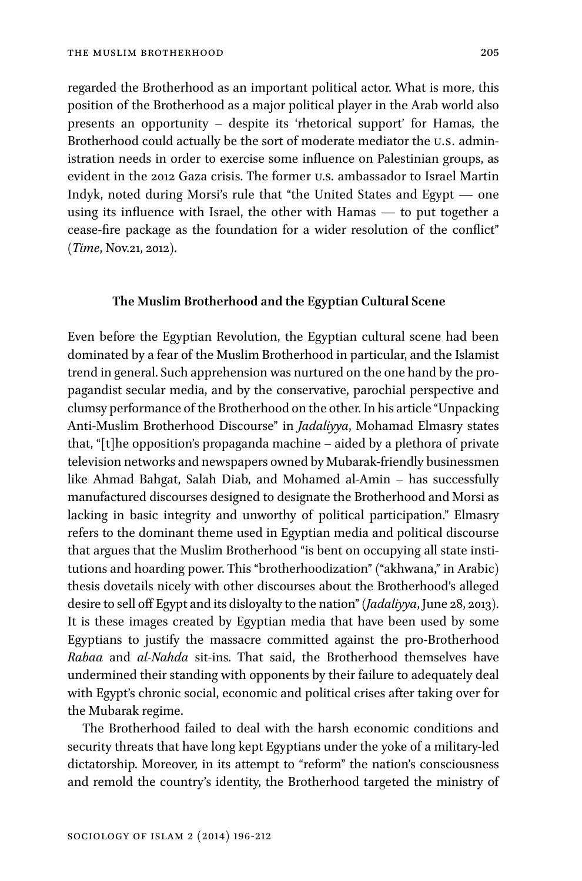regarded the Brotherhood as an important political actor. What is more, this position of the Brotherhood as a major political player in the Arab world also presents an opportunity – despite its 'rhetorical support' for Hamas, the Brotherhood could actually be the sort of moderate mediator the U.S. administration needs in order to exercise some influence on Palestinian groups, as evident in the 2012 Gaza crisis. The former u.s. ambassador to Israel Martin Indyk, noted during Morsi's rule that "the United States and Egypt — one using its influence with Israel, the other with Hamas — to put together a cease-fire package as the foundation for a wider resolution of the conflict" (*Time*, Nov.21, 2012).

# **The Muslim Brotherhood and the Egyptian Cultural Scene**

Even before the Egyptian Revolution, the Egyptian cultural scene had been dominated by a fear of the Muslim Brotherhood in particular, and the Islamist trend in general. Such apprehension was nurtured on the one hand by the propagandist secular media, and by the conservative, parochial perspective and clumsy performance of the Brotherhood on the other. In his article "Unpacking Anti-Muslim Brotherhood Discourse" in *Jadaliyya*, Mohamad Elmasry states that, "[t]he opposition's propaganda machine – aided by a plethora of private television networks and newspapers owned by Mubarak-friendly businessmen like Ahmad Bahgat, Salah Diab, and Mohamed al-Amin – has successfully manufactured discourses designed to designate the Brotherhood and Morsi as lacking in basic integrity and unworthy of political participation." Elmasry refers to the dominant theme used in Egyptian media and political discourse that argues that the Muslim Brotherhood "is bent on occupying all state institutions and hoarding power. This "brotherhoodization" ("akhwana," in Arabic) thesis dovetails nicely with other discourses about the Brotherhood's alleged desire to sell off Egypt and its disloyalty to the nation" (*Jadaliyya*, June 28, 2013). It is these images created by Egyptian media that have been used by some Egyptians to justify the massacre committed against the pro-Brotherhood *Rabaa* and *al-Nahda* sit-ins. That said, the Brotherhood themselves have undermined their standing with opponents by their failure to adequately deal with Egypt's chronic social, economic and political crises after taking over for the Mubarak regime.

The Brotherhood failed to deal with the harsh economic conditions and security threats that have long kept Egyptians under the yoke of a military-led dictatorship. Moreover, in its attempt to "reform" the nation's consciousness and remold the country's identity, the Brotherhood targeted the ministry of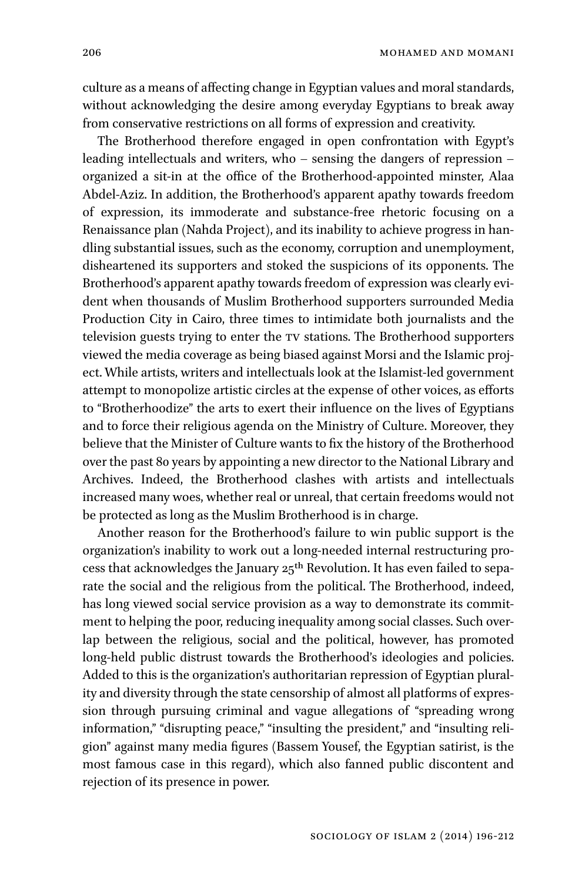culture as a means of affecting change in Egyptian values and moral standards, without acknowledging the desire among everyday Egyptians to break away from conservative restrictions on all forms of expression and creativity.

The Brotherhood therefore engaged in open confrontation with Egypt's leading intellectuals and writers, who – sensing the dangers of repression – organized a sit-in at the office of the Brotherhood-appointed minster, Alaa Abdel-Aziz. In addition, the Brotherhood's apparent apathy towards freedom of expression, its immoderate and substance-free rhetoric focusing on a Renaissance plan (Nahda Project), and its inability to achieve progress in handling substantial issues, such as the economy, corruption and unemployment, disheartened its supporters and stoked the suspicions of its opponents. The Brotherhood's apparent apathy towards freedom of expression was clearly evident when thousands of Muslim Brotherhood supporters surrounded Media Production City in Cairo, three times to intimidate both journalists and the television guests trying to enter the TV stations. The Brotherhood supporters viewed the media coverage as being biased against Morsi and the Islamic project. While artists, writers and intellectuals look at the Islamist-led government attempt to monopolize artistic circles at the expense of other voices, as efforts to "Brotherhoodize" the arts to exert their influence on the lives of Egyptians and to force their religious agenda on the Ministry of Culture. Moreover, they believe that the Minister of Culture wants to fix the history of the Brotherhood over the past 80 years by appointing a new director to the National Library and Archives. Indeed, the Brotherhood clashes with artists and intellectuals increased many woes, whether real or unreal, that certain freedoms would not be protected as long as the Muslim Brotherhood is in charge.

Another reason for the Brotherhood's failure to win public support is the organization's inability to work out a long-needed internal restructuring process that acknowledges the January 25<sup>th</sup> Revolution. It has even failed to separate the social and the religious from the political. The Brotherhood, indeed, has long viewed social service provision as a way to demonstrate its commitment to helping the poor, reducing inequality among social classes. Such overlap between the religious, social and the political, however, has promoted long-held public distrust towards the Brotherhood's ideologies and policies. Added to this is the organization's authoritarian repression of Egyptian plurality and diversity through the state censorship of almost all platforms of expression through pursuing criminal and vague allegations of "spreading wrong information," "disrupting peace," "insulting the president," and "insulting religion" against many media figures (Bassem Yousef, the Egyptian satirist, is the most famous case in this regard), which also fanned public discontent and rejection of its presence in power.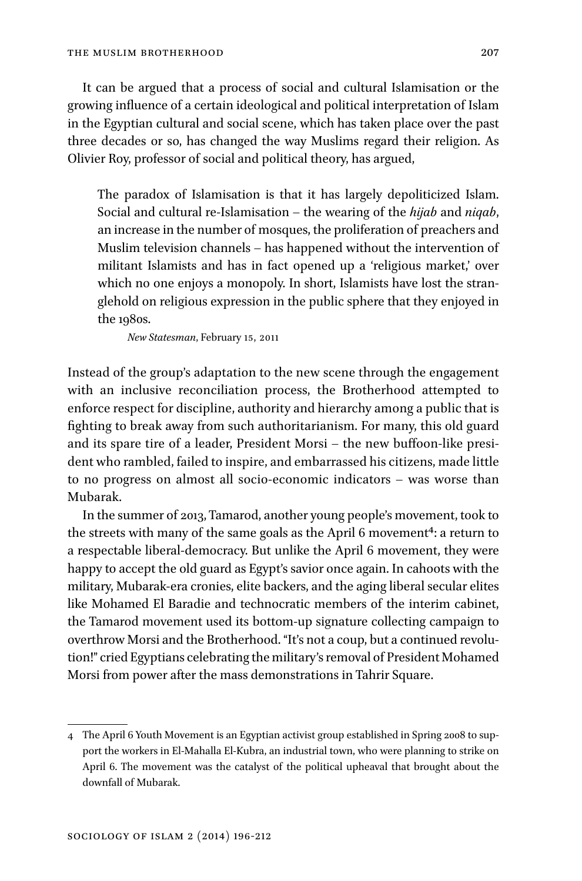It can be argued that a process of social and cultural Islamisation or the growing influence of a certain ideological and political interpretation of Islam in the Egyptian cultural and social scene, which has taken place over the past three decades or so, has changed the way Muslims regard their religion. As Olivier Roy, professor of social and political theory, has argued,

The paradox of Islamisation is that it has largely depoliticized Islam. Social and cultural re-Islamisation – the wearing of the *hijab* and *niqab*, an increase in the number of mosques, the proliferation of preachers and Muslim television channels – has happened without the intervention of militant Islamists and has in fact opened up a 'religious market,' over which no one enjoys a monopoly. In short, Islamists have lost the stranglehold on religious expression in the public sphere that they enjoyed in the 1980s.

*New Statesman*, February 15, 2011

Instead of the group's adaptation to the new scene through the engagement with an inclusive reconciliation process, the Brotherhood attempted to enforce respect for discipline, authority and hierarchy among a public that is fighting to break away from such authoritarianism. For many, this old guard and its spare tire of a leader, President Morsi – the new buffoon-like president who rambled, failed to inspire, and embarrassed his citizens, made little to no progress on almost all socio-economic indicators – was worse than Mubarak.

In the summer of 2013, Tamarod, another young people's movement, took to the streets with many of the same goals as the April 6 movement<sup>4</sup>: a return to a respectable liberal-democracy. But unlike the April 6 movement, they were happy to accept the old guard as Egypt's savior once again. In cahoots with the military, Mubarak-era cronies, elite backers, and the aging liberal secular elites like Mohamed El Baradie and technocratic members of the interim cabinet, the Tamarod movement used its bottom-up signature collecting campaign to overthrow Morsi and the Brotherhood. "It's not a coup, but a continued revolution!" cried Egyptians celebrating the military's removal of President Mohamed Morsi from power after the mass demonstrations in Tahrir Square.

<sup>4</sup> The April 6 Youth Movement is an Egyptian activist group established in Spring 2008 to support the workers in El-Mahalla El-Kubra, an industrial town, who were planning to strike on April 6. The movement was the catalyst of the political upheaval that brought about the downfall of Mubarak.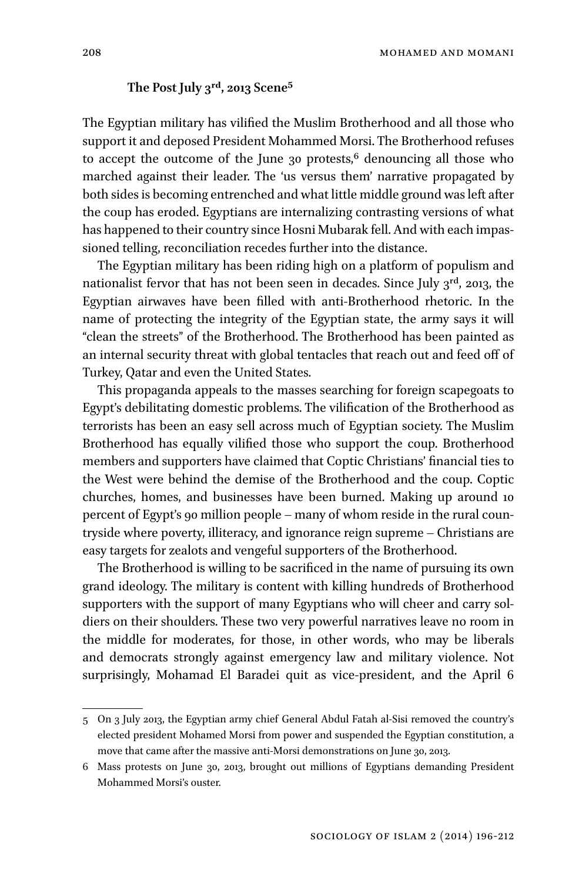# **The Post July 3rd, 2013 Scene5**

The Egyptian military has vilified the Muslim Brotherhood and all those who support it and deposed President Mohammed Morsi. The Brotherhood refuses to accept the outcome of the June 30 protests, $6$  denouncing all those who marched against their leader. The 'us versus them' narrative propagated by both sides is becoming entrenched and what little middle ground was left after the coup has eroded. Egyptians are internalizing contrasting versions of what has happened to their country since Hosni Mubarak fell. And with each impassioned telling, reconciliation recedes further into the distance.

The Egyptian military has been riding high on a platform of populism and nationalist fervor that has not been seen in decades. Since July  $3^{rd}$ , 2013, the Egyptian airwaves have been filled with anti-Brotherhood rhetoric. In the name of protecting the integrity of the Egyptian state, the army says it will "clean the streets" of the Brotherhood. The Brotherhood has been painted as an internal security threat with global tentacles that reach out and feed off of Turkey, Qatar and even the United States.

This propaganda appeals to the masses searching for foreign scapegoats to Egypt's debilitating domestic problems. The vilification of the Brotherhood as terrorists has been an easy sell across much of Egyptian society. The Muslim Brotherhood has equally vilified those who support the coup. Brotherhood members and supporters have claimed that Coptic Christians' financial ties to the West were behind the demise of the Brotherhood and the coup. Coptic churches, homes, and businesses have been burned. Making up around 10 percent of Egypt's 90 million people – many of whom reside in the rural countryside where poverty, illiteracy, and ignorance reign supreme – Christians are easy targets for zealots and vengeful supporters of the Brotherhood.

The Brotherhood is willing to be sacrificed in the name of pursuing its own grand ideology. The military is content with killing hundreds of Brotherhood supporters with the support of many Egyptians who will cheer and carry soldiers on their shoulders. These two very powerful narratives leave no room in the middle for moderates, for those, in other words, who may be liberals and democrats strongly against emergency law and military violence. Not surprisingly, Mohamad El Baradei quit as vice-president, and the April 6

<sup>5</sup> On 3 July 2013, the Egyptian army chief General Abdul Fatah al-Sisi removed the country's elected president Mohamed Morsi from power and suspended the Egyptian constitution, a move that came after the massive anti-Morsi demonstrations on June 30, 2013.

<sup>6</sup> Mass protests on June 30, 2013, brought out millions of Egyptians demanding President Mohammed Morsi's ouster.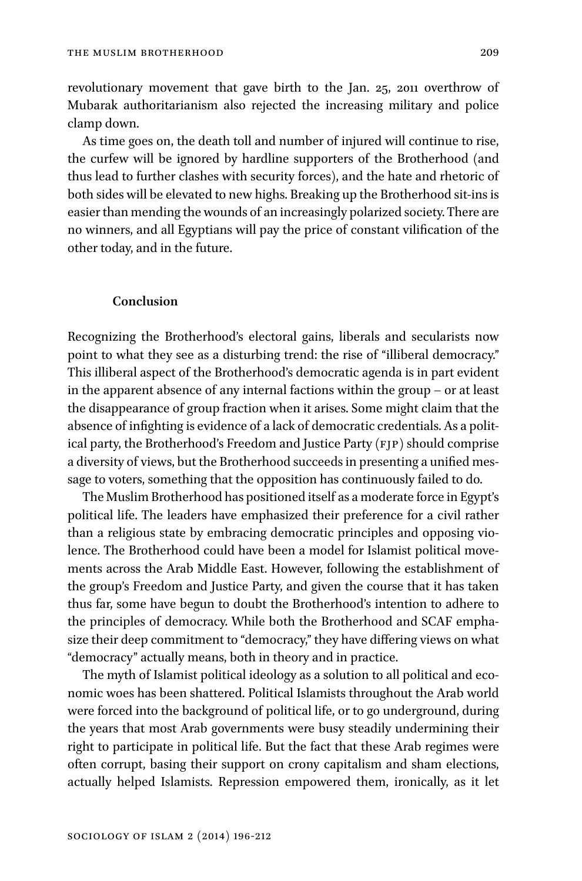revolutionary movement that gave birth to the Jan. 25, 2011 overthrow of Mubarak authoritarianism also rejected the increasing military and police clamp down.

As time goes on, the death toll and number of injured will continue to rise, the curfew will be ignored by hardline supporters of the Brotherhood (and thus lead to further clashes with security forces), and the hate and rhetoric of both sides will be elevated to new highs. Breaking up the Brotherhood sit-ins is easier than mending the wounds of an increasingly polarized society. There are no winners, and all Egyptians will pay the price of constant vilification of the other today, and in the future.

# **Conclusion**

Recognizing the Brotherhood's electoral gains, liberals and secularists now point to what they see as a disturbing trend: the rise of "illiberal democracy." This illiberal aspect of the Brotherhood's democratic agenda is in part evident in the apparent absence of any internal factions within the group – or at least the disappearance of group fraction when it arises. Some might claim that the absence of infighting is evidence of a lack of democratic credentials. As a political party, the Brotherhood's Freedom and Justice Party (FJP) should comprise a diversity of views, but the Brotherhood succeeds in presenting a unified message to voters, something that the opposition has continuously failed to do.

The Muslim Brotherhood has positioned itself as a moderate force in Egypt's political life. The leaders have emphasized their preference for a civil rather than a religious state by embracing democratic principles and opposing violence. The Brotherhood could have been a model for Islamist political movements across the Arab Middle East. However, following the establishment of the group's Freedom and Justice Party, and given the course that it has taken thus far, some have begun to doubt the Brotherhood's intention to adhere to the principles of democracy. While both the Brotherhood and SCAF emphasize their deep commitment to "democracy," they have differing views on what "democracy" actually means, both in theory and in practice.

The myth of Islamist political ideology as a solution to all political and economic woes has been shattered. Political Islamists throughout the Arab world were forced into the background of political life, or to go underground, during the years that most Arab governments were busy steadily undermining their right to participate in political life. But the fact that these Arab regimes were often corrupt, basing their support on crony capitalism and sham elections, actually helped Islamists. Repression empowered them, ironically, as it let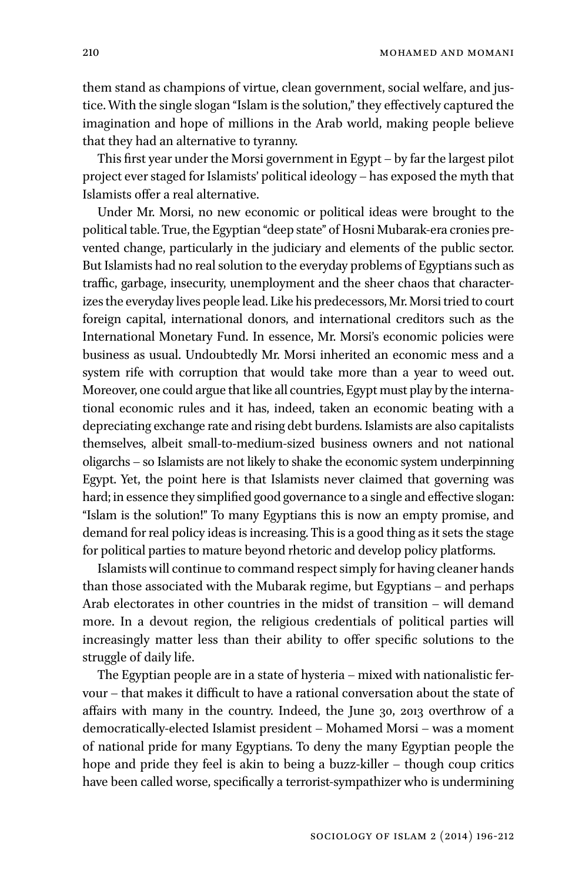them stand as champions of virtue, clean government, social welfare, and justice. With the single slogan "Islam is the solution," they effectively captured the imagination and hope of millions in the Arab world, making people believe that they had an alternative to tyranny.

This first year under the Morsi government in Egypt – by far the largest pilot project ever staged for Islamists' political ideology – has exposed the myth that Islamists offer a real alternative.

Under Mr. Morsi, no new economic or political ideas were brought to the political table. True, the Egyptian "deep state" of Hosni Mubarak-era cronies prevented change, particularly in the judiciary and elements of the public sector. But Islamists had no real solution to the everyday problems of Egyptians such as traffic, garbage, insecurity, unemployment and the sheer chaos that characterizes the everyday lives people lead. Like his predecessors, Mr. Morsi tried to court foreign capital, international donors, and international creditors such as the International Monetary Fund. In essence, Mr. Morsi's economic policies were business as usual. Undoubtedly Mr. Morsi inherited an economic mess and a system rife with corruption that would take more than a year to weed out. Moreover, one could argue that like all countries, Egypt must play by the international economic rules and it has, indeed, taken an economic beating with a depreciating exchange rate and rising debt burdens. Islamists are also capitalists themselves, albeit small-to-medium-sized business owners and not national oligarchs – so Islamists are not likely to shake the economic system underpinning Egypt. Yet, the point here is that Islamists never claimed that governing was hard; in essence they simplified good governance to a single and effective slogan: "Islam is the solution!" To many Egyptians this is now an empty promise, and demand for real policy ideas is increasing. This is a good thing as it sets the stage for political parties to mature beyond rhetoric and develop policy platforms.

Islamists will continue to command respect simply for having cleaner hands than those associated with the Mubarak regime, but Egyptians – and perhaps Arab electorates in other countries in the midst of transition – will demand more. In a devout region, the religious credentials of political parties will increasingly matter less than their ability to offer specific solutions to the struggle of daily life.

The Egyptian people are in a state of hysteria – mixed with nationalistic fervour – that makes it difficult to have a rational conversation about the state of affairs with many in the country. Indeed, the June 30, 2013 overthrow of a democratically-elected Islamist president – Mohamed Morsi – was a moment of national pride for many Egyptians. To deny the many Egyptian people the hope and pride they feel is akin to being a buzz-killer – though coup critics have been called worse, specifically a terrorist-sympathizer who is undermining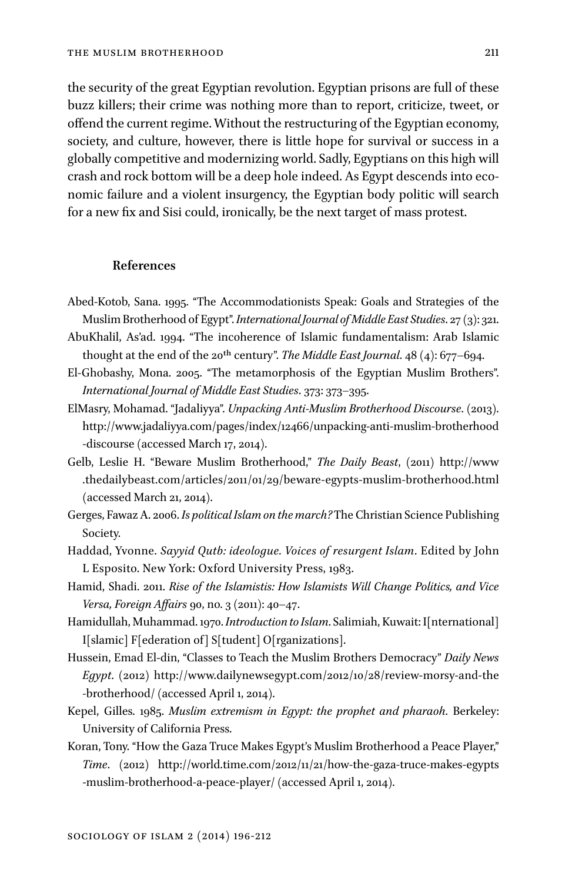the security of the great Egyptian revolution. Egyptian prisons are full of these buzz killers; their crime was nothing more than to report, criticize, tweet, or offend the current regime. Without the restructuring of the Egyptian economy, society, and culture, however, there is little hope for survival or success in a globally competitive and modernizing world. Sadly, Egyptians on this high will crash and rock bottom will be a deep hole indeed. As Egypt descends into economic failure and a violent insurgency, the Egyptian body politic will search for a new fix and Sisi could, ironically, be the next target of mass protest.

#### **References**

Abed-Kotob, Sana. 1995. "The Accommodationists Speak: Goals and Strategies of the Muslim Brotherhood of Egypt". *International Journal of Middle East Studies*. 27 (3): 321.

AbuKhalil, As'ad. 1994. "The incoherence of Islamic fundamentalism: Arab Islamic thought at the end of the 20th century". *The Middle East Journal*. 48 (4): 677–694.

- El-Ghobashy, Mona. 2005. "The metamorphosis of the Egyptian Muslim Brothers". *International Journal of Middle East Studies*. 373: 373–395.
- ElMasry, Mohamad. "Jadaliyya". *Unpacking Anti-Muslim Brotherhood Discourse*. (2013). [http://www.jadaliyya.com/pages/index/12466/unpacking-anti-muslim-brotherhood](http://www.jadaliyya.com/pages/index/12466/unpacking-anti-muslim-brotherhood-discourse) [-discourse](http://www.jadaliyya.com/pages/index/12466/unpacking-anti-muslim-brotherhood-discourse) (accessed March 17, 2014).
- Gelb, Leslie H. "Beware Muslim Brotherhood," *The Daily Beast*, (2011) [http://www](http://www.thedailybeast.com/articles/2011/01/29/beware-egypts-muslim-brotherhood.html) [.thedailybeast.com/articles/2011/01/29/beware-egypts-muslim-brotherhood.html](http://www.thedailybeast.com/articles/2011/01/29/beware-egypts-muslim-brotherhood.html) (accessed March 21, 2014).
- Gerges, Fawaz A. 2006. *Is political Islam on the march?* The Christian Science Publishing Society.
- Haddad, Yvonne. *Sayyid Qutb: ideologue. Voices of resurgent Islam*. Edited by John L Esposito. New York: Oxford University Press, 1983.
- Hamid, Shadi. 2011. *Rise of the Islamistis: How Islamists Will Change Politics, and Vice Versa, Foreign Affairs* 90, no. 3 (2011): 40–47.
- Hamidullah, Muhammad. 1970. *Introduction to Islam*. Salimiah, Kuwait: I[nternational] I[slamic] F[ederation of] S[tudent] O[rganizations].
- Hussein, Emad El-din, "Classes to Teach the Muslim Brothers Democracy" *Daily News Egypt*. (2012) [http://www.dailynewsegypt.com/2012/10/28/review-morsy-and-the](http://www.dailynewsegypt.com/2012/10/28/review-morsy-and-the-brotherhood/) [-brotherhood/](http://www.dailynewsegypt.com/2012/10/28/review-morsy-and-the-brotherhood/) (accessed April 1, 2014).
- Kepel, Gilles. 1985. *Muslim extremism in Egypt: the prophet and pharaoh*. Berkeley: University of California Press.
- Koran, Tony. "How the Gaza Truce Makes Egypt's Muslim Brotherhood a Peace Player," *Time*. (2012) [http://world.time.com/2012/11/21/how-the-gaza-truce-makes-egypts](http://world.time.com/2012/11/21/how-the-gaza-truce-makes-egypts-muslim-brotherhood-a-peace-player/) [-muslim-brotherhood-a-peace-player/](http://world.time.com/2012/11/21/how-the-gaza-truce-makes-egypts-muslim-brotherhood-a-peace-player/) (accessed April 1, 2014).